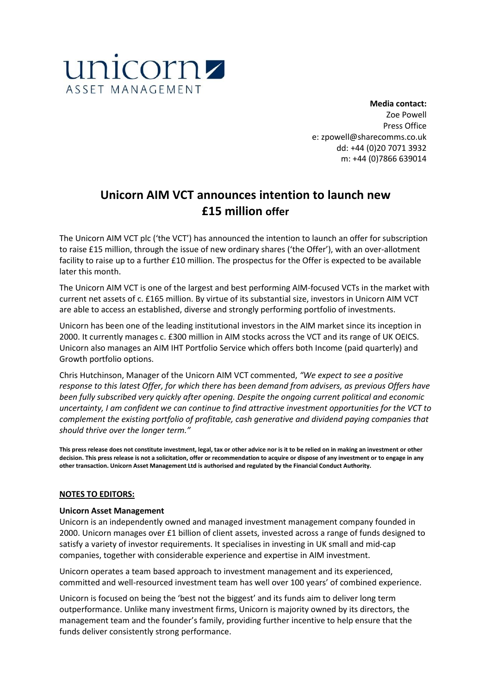

**Media contact:** Zoe Powell Press Office e: zpowell@sharecomms.co.uk dd: +44 (0)20 7071 3932 m: +44 (0)7866 639014

## **Unicorn AIM VCT announces intention to launch new £15 million offer**

The Unicorn AIM VCT plc ('the VCT') has announced the intention to launch an offer for subscription to raise £15 million, through the issue of new ordinary shares ('the Offer'), with an over-allotment facility to raise up to a further £10 million. The prospectus for the Offer is expected to be available later this month.

The Unicorn AIM VCT is one of the largest and best performing AIM-focused VCTs in the market with current net assets of c. £165 million. By virtue of its substantial size, investors in Unicorn AIM VCT are able to access an established, diverse and strongly performing portfolio of investments.

Unicorn has been one of the leading institutional investors in the AIM market since its inception in 2000. It currently manages c. £300 million in AIM stocks across the VCT and its range of UK OEICS. Unicorn also manages an AIM IHT Portfolio Service which offers both Income (paid quarterly) and Growth portfolio options.

Chris Hutchinson, Manager of the Unicorn AIM VCT commented, *"We expect to see a positive response to this latest Offer, for which there has been demand from advisers, as previous Offers have been fully subscribed very quickly after opening. Despite the ongoing current political and economic uncertainty, I am confident we can continue to find attractive investment opportunities for the VCT to complement the existing portfolio of profitable, cash generative and dividend paying companies that should thrive over the longer term."*

**This press release does not constitute investment, legal, tax or other advice nor is it to be relied on in making an investment or other decision. This press release is not a solicitation, offer or recommendation to acquire or dispose of any investment or to engage in any other transaction. Unicorn Asset Management Ltd is authorised and regulated by the Financial Conduct Authority.**

## **NOTES TO EDITORS:**

## **Unicorn Asset Management**

Unicorn is an independently owned and managed investment management company founded in 2000. Unicorn manages over £1 billion of client assets, invested across a range of funds designed to satisfy a variety of investor requirements. It specialises in investing in UK small and mid-cap companies, together with considerable experience and expertise in AIM investment.

Unicorn operates a team based approach to investment management and its experienced, committed and well-resourced investment team has well over 100 years' of combined experience.

Unicorn is focused on being the 'best not the biggest' and its funds aim to deliver long term outperformance. Unlike many investment firms, Unicorn is majority owned by its directors, the management team and the founder's family, providing further incentive to help ensure that the funds deliver consistently strong performance.